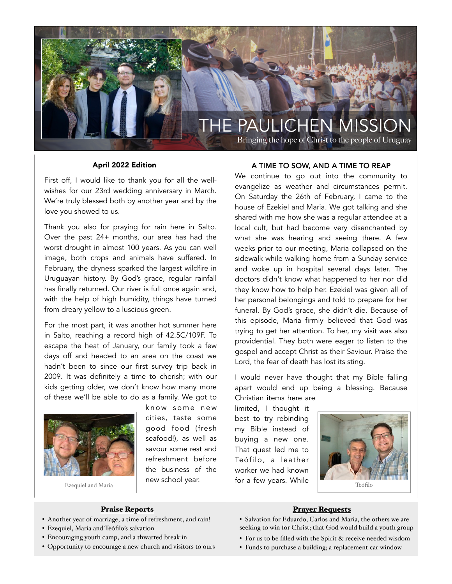

Bringing the hope of Christ to the people of Uruguay

#### April 2022 Edition

First off, I would like to thank you for all the wellwishes for our 23rd wedding anniversary in March. We're truly blessed both by another year and by the love you showed to us.

Thank you also for praying for rain here in Salto. Over the past 24+ months, our area has had the worst drought in almost 100 years. As you can well image, both crops and animals have suffered. In February, the dryness sparked the largest wildfire in Uruguayan history. By God's grace, regular rainfall has finally returned. Our river is full once again and, with the help of high humidity, things have turned from dreary yellow to a luscious green.

For the most part, it was another hot summer here in Salto, reaching a record high of 42.5C/109F. To escape the heat of January, our family took a few days off and headed to an area on the coast we hadn't been to since our first survey trip back in 2009. It was definitely a time to cherish; with our kids getting older, we don't know how many more of these we'll be able to do as a family. We got to



Ezequiel and Maria

know some new cities, taste some good food (fresh seafood!), as well as savour some rest and refreshment before the business of the new school year.

#### A TIME TO SOW, AND A TIME TO REAP

We continue to go out into the community to evangelize as weather and circumstances permit. On Saturday the 26th of February, I came to the house of Ezekiel and Maria. We got talking and she shared with me how she was a regular attendee at a local cult, but had become very disenchanted by what she was hearing and seeing there. A few weeks prior to our meeting, Maria collapsed on the sidewalk while walking home from a Sunday service and woke up in hospital several days later. The doctors didn't know what happened to her nor did they know how to help her. Ezekiel was given all of her personal belongings and told to prepare for her funeral. By God's grace, she didn't die. Because of this episode, Maria firmly believed that God was trying to get her attention. To her, my visit was also providential. They both were eager to listen to the gospel and accept Christ as their Saviour. Praise the Lord, the fear of death has lost its sting.

I would never have thought that my Bible falling apart would end up being a blessing. Because Christian items here are

limited, I thought it best to try rebinding my Bible instead of buying a new one. That quest led me to Teófilo, a leather worker we had known for a few years. While



## Praise Reports

- Another year of marriage, a time of refreshment, and rain!
- Ezequiel, Maria and Teófilo's salvation
- Encouraging youth camp, and a thwarted break-in
- Opportunity to encourage a new church and visitors to ours

## Prayer Requests

- Salvation for Eduardo, Carlos and Maria, the others we are seeking to win for Christ; that God would build a youth group
- For us to be filled with the Spirit & receive needed wisdom
- Funds to purchase a building; a replacement car window